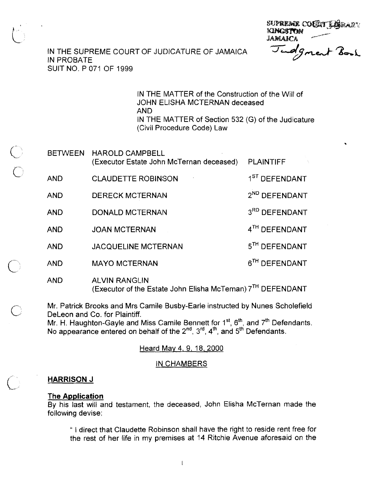SUPREME COULT LERANT **KINGSTON JAMAICA** 

## IN THE SUPREME COURT OF JUDICATURE OF JAMAICA IN PROBATE SUIT NO. P 071 OF 1999

IN THE MATTER of the Construction of the Will of JOHN ELISHA MCTERNAN deceased AND IN THE MATTER of Section 532 (G) of the Judicature (Civil Procedure Code) Law

|  | <b>BETWEEN</b> | HAROLD CAMPBELL.<br>(Executor Estate John McTernan deceased) | <b>PLAINTIFF</b>          |
|--|----------------|--------------------------------------------------------------|---------------------------|
|  | <b>AND</b>     | <b>CLAUDETTE ROBINSON</b>                                    | 1 <sup>ST</sup> DEFENDANT |
|  | <b>AND</b>     | <b>DERECK MCTERNAN</b>                                       | 2 <sup>ND</sup> DEFENDANT |
|  | <b>AND</b>     | <b>DONALD MCTERNAN</b>                                       | 3RD DEFENDANT             |
|  | <b>AND</b>     | <b>JOAN MCTERNAN</b>                                         | 4TH DEFENDANT             |
|  | <b>AND</b>     | JACQUELINE MCTERNAN                                          | 5 <sup>TH</sup> DEFENDANT |
|  | <b>AND</b>     | <b>MAYO MCTERNAN</b>                                         | 6 <sup>TH</sup> DEFENDANT |
|  | <b>AND</b>     | <b>ALVIN RANGLIN</b>                                         |                           |

(Executor of the Estate John Elisha McTernan) 7'<sup>n</sup> DEFENDANT

Mr. Patrick Brooks and Mrs Camile Busby-Earle instructed by Nunes Scholefield DeLeon and Co. for Plaintiff.

Mr. H. Haughton-Gayle and Miss Camile Bennett for  $1<sup>st</sup>$ ,  $6<sup>th</sup>$ , and  $7<sup>th</sup>$  Defendants. No appearance entered on behalf of the  $2<sup>nd</sup>$ ,  $3<sup>rd</sup>$ ,  $4<sup>th</sup>$ , and  $5<sup>th</sup>$  Defendants.

# Heard Mav 4, 9, 18,2000

### IN CHAMBERS

## **HARRISON J**

## **The Application**

By his last will and testament, the deceased, John Elisha McTernan made the following devise:

" I direct that Claudette Robinson shall have the right to reside rent free for the rest of her life in my premises at 14 Ritchie Avenue aforesaid on the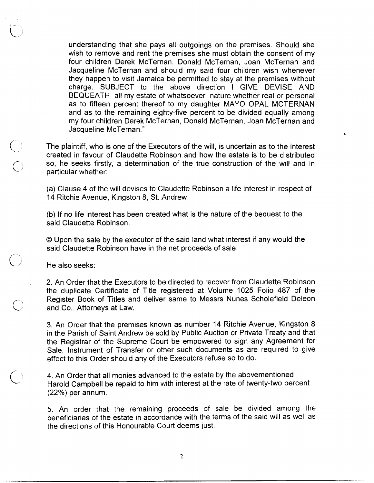understanding that she pays all outgoings on the premises. Should she wish to remove and rent the premises she must obtain the consent of my four children Derek McTernan, Donald McTernan, Joan McTernan and Jacqueline McTernan and should my said four children wish whenever they happen to visit Jamaica be permitted to stay at the premises without charge. SUBJECT to the above direction I GIVE DEVISE AND BEQUEATH all my estate of whatsoever nature whether real or personal as to fifteen percent thereof to my daughter MAY0 OPAL MCTERNAN and as to the remaining eighty-five percent to be divided equally among my four children Derek McTernan, Donald McTernan, Joan McTernan and Jacqueline McTernan."

The plaintiff, who is one of the Executors of the will, is uncertain as to the interest created in favour of Claudette Robinson and how the estate is to be distributed so, he seeks firstly, a determination of the true construction of the will and in particular whether:

(a) Clause 4 of the will devises to Claudette Robinson a life interest in respect of 14 Ritchie Avenue, Kingston 8, St. Andrew.

(b) If no life interest has been created what is the nature of the bequest to the said Claudette Robinson.

O Upon the sale by the executor of the said land what interest if any would the said Claudette Robinson have in the net proceeds of sale.

He also seeks:

2. An Order that the Executors to be directed to recover from Claudette Robinson the duplicate Certificate of Title registered at Volume 1025 Folio 487 of the Register Book of Titles and deliver same to Messrs Nunes Scholefield Deleon<br>and Co., Attorneys at Law.

> 3. An Order that the premises known as number 14 Ritchie Avenue, Kingston 8 in the Parish of Saint Andrew be sold by Public Auction or Private Treaty and that the Registrar of the Supreme Court be empowered to sign any Agreement for Sale, Instrument of Transfer or other such documents as are required to give effect to this Order should any of the Executors refuse so to do.

(extemdanced to the estate by the abovementioned<br>Harold Campbell be repaid to him with interest at the rate of twenty-two percent (22%) per annum.

> 5. An order that the remaining proceeds of sale be divided among the beneficiaries of the estate in accordance with the terms of the said will as well as the directions of this Honourable Court deems just.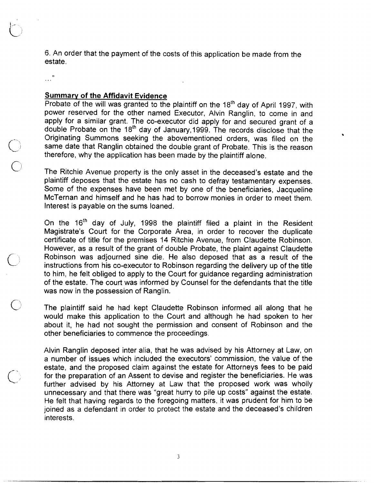6. An order that the payment of the costs of this application be made from the estate.

### **Summarv of the Affidavit Evidencg**

 $\sim$   $\frac{9}{2}$ 

Probate of the will was granted to the plaintiff on the 18<sup>th</sup> day of April 1997, with power reserved for the other named Executor, Alvin Ranglin, to come in and apply for a similar grant. The co-executor did apply for and secured grant of a double Probate on the 18<sup>th</sup> day of January, 1999. The records disclose that the Originating Summons seeking the abovementioned orders, was filed on the same date that Ranglin obtained the double grant of Probate. This is the reason therefore, why the application has been made by the plaintiff alone.

 $\bullet$ 

The Ritchie Avenue property is the only asset in the deceased's estate and the plaintiff deposes that the estate has no cash to defray testamentary expenses. Some of the expenses have been met by one of the beneficiaries, Jacqueline McTernan and himself and he has had to borrow monies in order to meet them. Interest is payable on the sums loaned.

On the  $16<sup>th</sup>$  day of July, 1998 the plaintiff filed a plaint in the Resident Magistrate's Court for the Corporate Area, in order to recover the duplicate certificate of title for the prernises '14 Ritchie Avenue, from Claudette Robinson. However, as a result of the grant of double Probate, the plaint against Claudette Robinson was adjourned sine die. He also deposed that as a result of the instructions from his co-executor to Robinson regarding the delivery up of the title to him, he felt obliged to apply to the Court for guidance regarding administration of the estate. The court was informed by Counsel for the defendants that the title was now in the possession of Ranglin.

The plaintiff said he had kept Claudette Robinson informed all along that he would make this application to the Court and although he had spoken to her about it, he had not sought the permission and consent of Robinson and the other beneficiaries to commence the proceedings.

Alvin Ranglin deposed inter alia, that he was advised by his Attorney at Law, on a number of issues which included the executors' commission, the value of the estate, and the proposed claim against the estate for Attorneys fees to be paid for the preparation of an Assent to devise and register the beneficiaries. He was further advised by his Attorney at Law that the proposed work was wholly unnecessary and that there was "great hurry to pile up costs" against the estate. He felt that having regards to the foregoing matters, it was prudent for him to be joined as a defendant in order to protect the estate and the deceased's children interests.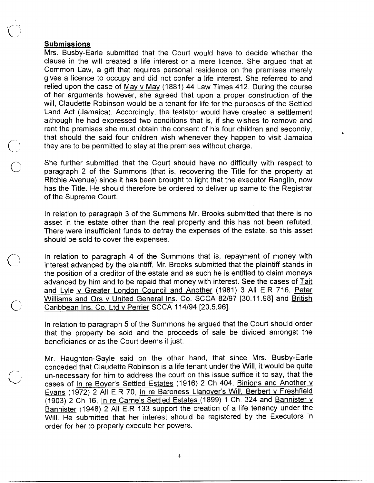## **Submissions**

 $\mathcal{F}$ 

Mrs. Busby-Earle submitted that the Court would have to decide whether the clause in the will created a life interest or a mere licence. She argued that at Common Law, a gift that requires personal residence on the premises merely gives a licence to occupy and did not confer a life interest. She referred to and relied upon the case of Mav v Mav (1881) 44 Law Times 412. During the course of her arguments however, she agreed that upon a proper construction of the will, Claudette Robinson would be a tenant for life for the purposes of the Settled Land Act (Jamaica). Accordingly, the testator would have created a settlement although he had expressed two conditions that is, if she wishes to remove and rent the premises she must obtain the consent of his four children and secondly, that should the said four children wish whenever they happen to visit Jamaica they are to be permitted to stay at the premises without charge.

 $\bullet$ 

 $\bigcirc$  She further submitted that the Court should have no difficulty with respect to paragraph 2 of the Summons (that is, recovering the Title for the property at Ritchie Avenue) since it has been brought to light that the executor Ranglin, now has the Title. He should therefore be ordered to deliver up same to the Registrar of the Supreme Court.

> In relation to paragraph 3 of the Summons Mr. Brooks submitted that there is no asset in the estate other than the real property and this has not been refuted. There were insufficient funds to defray the expenses of the estate, so this asset should be sold to cover the expenses.

In relation to paragraph 4 of the Summons that is, repayment of money with interest advanced by the plaintiff, Mr. Brooks submitted that the plaintiff stands in the position of a creditor of the estate and as such he is entitled to claim moneys advanced by him and to be repaid that money with interest. See the cases of Tait and Lyle v Greater London Council and Another (1981) 3 All E.R 716, Peter Williams and Ors v United General Ins. Co. SCCA 82/97 [30.11.98] and British Caribbean Ins. Co. Ltd v Perrier SCCA 114/94 [20.5.96].

> In relation to paragraph 5 of the Summons he argued that the Court should order that the property be sold and the proceeds of sale be divided amongst the beneficiaries or as the Court deems it just.

> Mr. Haughton-Gayle said on the other hand, that since Mrs. Busby-Earle conceded that Claudette Robinson is a life tenant under the Will, it would be quite un-necessary for him to address the court on this issue suffice it to say, that the cases of In re Boyer's Settled Estates (1916) 2 Ch 404, Binions and Another v Evans (1972) 2 All E.R 70, In re Baroness Llanover's Will, Berbert v Freshfield (1903) 2 Ch 16, In re Carne's Settled Estates (1899) 1 Ch. 324 and Bannister v Bannister (1948) 2 All E.R 133 support the creation of a life tenancy under the Will. He submitted that her interest should be registered by the Executors in order for her to properly execute her powers.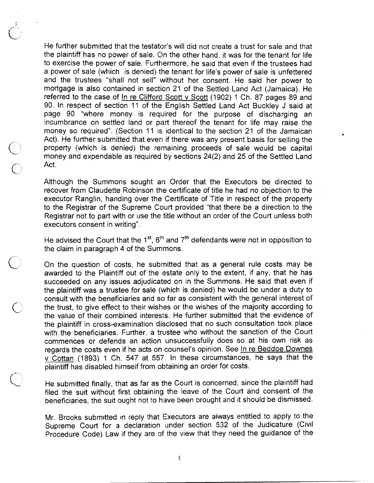He further submitted that the testator's will did not create a trust for sale and that the plaintiff has no power of sale. On the other hand, it was for the tenant for life to exercise the power of sale. Furthermore, he said that even if the trustees had a power of sale (which is denied) the tenant for life's power of sale is unfettered and the trustees "shall not sell" without her consent. He said her power to mortgage is also contained in section 21 of the Settled Land Act (Jamaica). He referred to the case of In re Clifford Scott v Scott (1902) 1 Ch. 87 pages 89 and 90. In respect of section 11 of the English Settled Land Act Buckley J said at page 90 "where money is required for the purpose of discharging an incumbrance on settled land or part thereof the tenant for life may raise the money so required". (Section 11 is identical to the section 21 of the Jamaican Act). He further submitted that even if there was any present basis for selling the property (which is denied) the remaining proceeds of sale would be capital money and expendable as required by sections 24(2) and 25 of the Settled Land  $\bigcirc$  mon<br> $\bigcirc$  Act.

Although the Summons sought am Order that the Executors be directed to recover from Claudette Robinson the certificate of title he had no objection to the executor Ranglin, handing over the Certificate of Title in respect of the property to the Registrar of the Supreme Court provided "that there be a direction to the Registrar not to part with or use the title without an order of the Court unless both executors consent in writing". recover from Claudette Robinson the certificate of title he had no objection to the executor Ranglin, handing over the Certificate of Title in respect of the property to the Registrar of the Supreme Court provided "that t

He advised the Court that the 1<sup>st</sup>, 6th and 7th defendants were not in opposition to the claim in paragraph 4 of the Summons.

awarded to the Plaintiff out of the estate only to the extent, if any, that he has succeeded on any issues adjudicated on in the Summons. He said that even if the plaintiff was a trustee for sale (which is denied) he would be under a duty to consult with the beneficiaries and so far as consistent with the general interest of the trust, to give effect to their wishes or the wishes of the majority according to the value of their combined interests. He further submitted that the evidence of the plaintiff in cross-examination disclosed that no such consultation took place with the beneficiaries. Further, a trustee who without the sanction of the Court commences or defends an action unsuccessfully does so at his own risk as regards the costs even if he acts on counsel's opinion. See In re Beddoe Downes v Cottan (1893) 1 Ch. 547 at 557. In these circumstances, he says that the plaintiff has disabled himself from obtaining an order for costs.

He submitted finally, that as far as the Court is concerned, since the plaintiff had filed the suit without first obtaining the leave of the Court and consent of the beneficiaries, the suit ought not to have been brought and it should be dismissed.

Mr. Brooks submitted in reply that Executors are always entitled to apply to the Supreme Court for a declaration under section 532 of the Judicature (Civil Procedure Code) Law if they are of the view that they need the guidance of the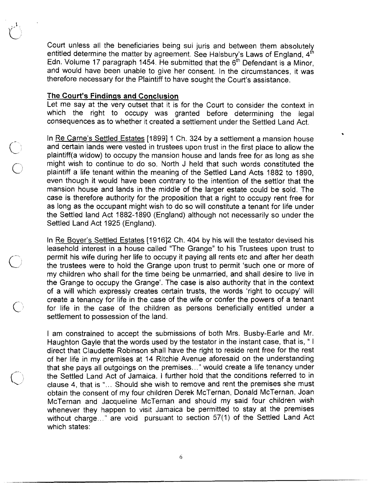Court unless all the beneficiaries being sui juris and between them absolutely entitled determine the matter by agreement. See Halsbury's Laws of England, 4<sup>th</sup> Edn. Volume 17 paragraph 1454. He submitted that the  $6<sup>th</sup>$  Defendant is a Minor, and would have been unable to give her consent. In the circumstances, it was therefore necessary for the Plaintiff to have sought the Court's assistance.

### **The Court's Findings and Conclusion**

 $\subset$ 

Let me say at the very outset that it is for the Court to consider the context in which the right to occupy was granted before determining the legal consequences as to whether it created a settlement under the Settled Land Act.

In Re Carne's Settled Estates [1899] 1 Ch. 324 by a settlement a mansion house and certain lands were vested in trustees upon trust in the first place to allow the plaintiff(a widow) to occupy the mansion house and lands free for as long as she might wish to continue to do so. INorth J held that such words constituted the plaintiff a life tenant within the meaning of the Settled Land Acts 1882 to 1890, even though it would have been contrary to the intention of the settlor that the mansion house and lands in the middle of the larger estate could be sold. The case is therefore authority for the proposition that a right to occupy rent free for as long as the occupant might wish to do so will constitute a tenant for life under the Settled land Act 1882-1890 (England) although not necessarily so under the Settled Land Act 1925 (England).

In Re Bover's Settled Estates [I91612 Ch. 404 by his will the testator devised his leasehold interest in a house called "The Grange" to his Trustees upon trust to permit his wife during her life to occupy it paying all rents etc and after her death the trustees were to hold the Grange upon trust to permit 'such one or more of my children who shall for the time being be unmarried, and shall desire to live in the Grange to occupy the Grange'. The case is also authority that in the context of a will which expressly creates certain trusts, the words 'right to occupy' will create a tenancy for life in the case of the wife or confer the powers of a tenant for life in the case of the children as persons beneficially entitled under a settlement to possession of the land.

I am constrained to accept the submissions of both Mrs. Busby-Earle and Mr. Haughton Gayle that the words used by the testator in the instant case, that is, " I direct that Claudette Robinson shall have the right to reside rent free for the rest of her life in my premises at 14 Ritchie Avenue aforesaid on the understanding that she pays all outgoings on the premises ..." would create a life tenancy under the Settled Land Act of Jamaica. I further hold that the conditions referred to in clause 4, that is " $\ldots$  Should she wish to remove and rent the premises she must obtain the consent of my four children Derek McTernan, Donald McTernan, Joan McTernan and Jacqueline McTerrian and should my said four children wish whenever they happen to visit Jamaica be permitted to stay at the premises without charge.. " are void pursuant to section 57(1) of the Settled Land Act which states: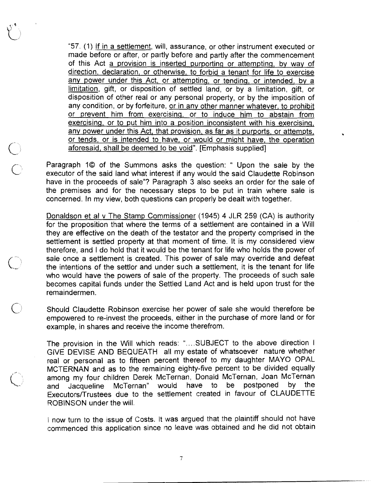"57. (1) If in a settlement, will, assurance, or other instrument executed or made before or after, or partly before and partly after the commencement of this Act a provision is inserted purporting or attemptinq, by way of direction, declaration, or otherwise, to forbid a tenant for life to exercise any power under this Act, or attemptinq, or tendinq, or intended, by a limitation, gift, or disposition of settled land, or by a limitation, gift, or disposition of other real or any personal property, or by the imposition of any condition, or by forfeiture, or in any other manner whatever, to prohibit or prevent him from exercising, or to induce him to abstain from exercising, or to put him into a position inconsistent with his exercising, any power under this Act, that provision, as far as it purports, or attempts, or tends, or is intended to have, or would or might have, the operation aforesaid, shall be deemed to be void". [Emphasis supplied]

C' Paragraph 10 of the Summons asks the question: " Upon the sale by the executor of the said land what interest if any would the said Claudette Robinson have in the proceeds of sale"? Paragraph 3 also seeks an order for the sale of the premises and for the necessary steps to be put in train where sale is concerned. In my view, both questions can properly be dealt with together.

> Donaldson et al v The Stamp Commissioner (1945) 4 JLR 259 (CA) is authority for the proposition that where the terms of a settlement are contained in a Will they are effective on the death of the testator and the property comprised in the settlement is settled property at that moment of time. It is my considered view therefore, and I do hold that it would be the tenant for life who holds the power of sale once a settlement is created. This power of sale may override and defeat the intentions of the settlor and under such a settlement, it is the tenant for life who would have the powers of sale of the property. The proceeds of such sale becomes capital funds under the Settled Land Act and is held upon trust for the remaindermen.

> Should Claudette Robinson exercise her power of sale she would therefore be empowered to re-invest the proceeds, either in the purchase of more land or for example, in shares and receive the income therefrom.

> The provision in the Will which reads: "....SUBJECT to the above direction I GIVE DEVISE AND BEQUEATH all my estate of whatsoever nature whether real or personal as to fifteen percent thereof to my daughter MAY0 OPAL MCTERNAN and as to the remaining eighty-five percent to be divided equally among my four children Derek McTernan, Donald McTernan, Joan McTernan<br>and Jacqueline McTernan" would have to be postponed by the and Jacqueline McTernan" would have to be postponed by the Executors/Trustees due to the settlement created in favour of CLAUDETTE ROBINSON under the will.

> I now turn to the issue of Costs. It was argued that the plaintiff should not have commenced this application since no leave was obtained and he did not obtain

> > $\overline{7}$